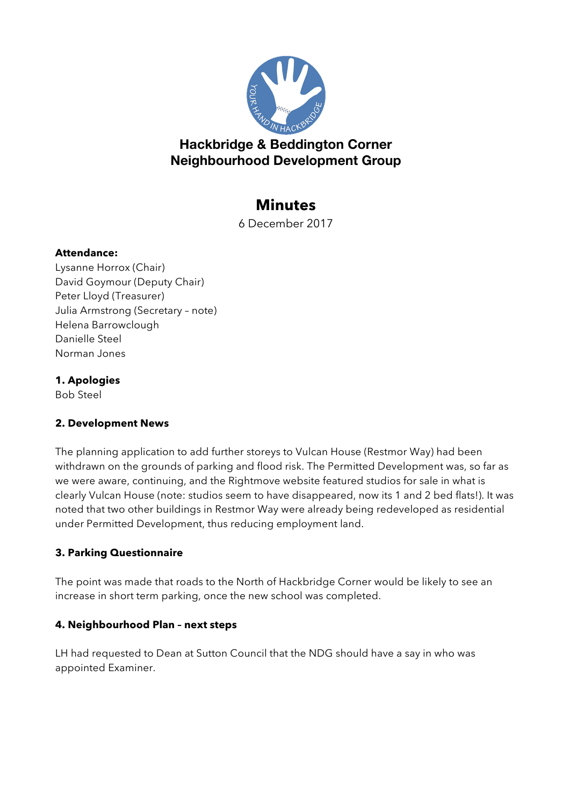

## **Hackbridge & Beddington Corner Neighbourhood Development Group**

# **Minutes**

6 December 2017

### **Attendance:**

Lysanne Horrox (Chair) David Goymour (Deputy Chair) Peter Lloyd (Treasurer) Julia Armstrong (Secretary – note) Helena Barrowclough Danielle Steel Norman Jones

## **1. Apologies**

Bob Steel

## **2. Development News**

The planning application to add further storeys to Vulcan House (Restmor Way) had been withdrawn on the grounds of parking and flood risk. The Permitted Development was, so far as we were aware, continuing, and the Rightmove website featured studios for sale in what is clearly Vulcan House (note: studios seem to have disappeared, now its 1 and 2 bed flats!). It was noted that two other buildings in Restmor Way were already being redeveloped as residential under Permitted Development, thus reducing employment land.

## **3. Parking Questionnaire**

The point was made that roads to the North of Hackbridge Corner would be likely to see an increase in short term parking, once the new school was completed.

## **4. Neighbourhood Plan – next steps**

LH had requested to Dean at Sutton Council that the NDG should have a say in who was appointed Examiner.